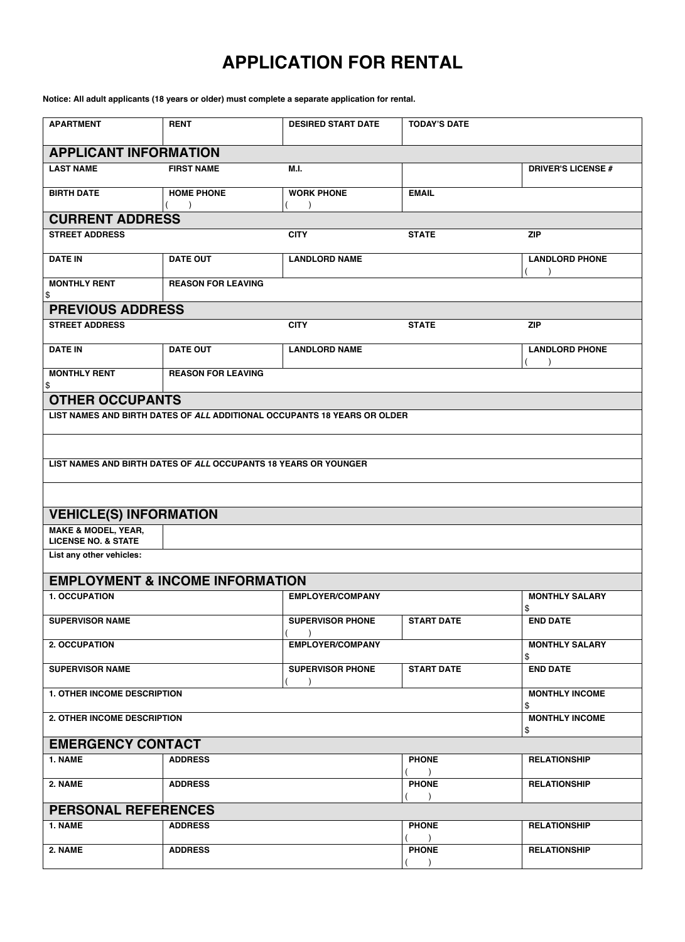## **APPLICATION FOR RENTAL**

**Notice: All adult applicants (18 years or older) must complete a separate application for rental.**

| <b>APARTMENT</b>                                                 | <b>RENT</b>                                                     | <b>DESIRED START DATE</b>                                                | <b>TODAY'S DATE</b>       |                             |  |  |  |
|------------------------------------------------------------------|-----------------------------------------------------------------|--------------------------------------------------------------------------|---------------------------|-----------------------------|--|--|--|
| <b>APPLICANT INFORMATION</b>                                     |                                                                 |                                                                          |                           |                             |  |  |  |
| <b>LAST NAME</b>                                                 | <b>FIRST NAME</b>                                               | M.I.                                                                     |                           | <b>DRIVER'S LICENSE #</b>   |  |  |  |
| <b>BIRTH DATE</b>                                                | <b>HOME PHONE</b>                                               | <b>WORK PHONE</b>                                                        | <b>EMAIL</b>              |                             |  |  |  |
| <b>CURRENT ADDRESS</b>                                           |                                                                 |                                                                          |                           |                             |  |  |  |
| <b>STREET ADDRESS</b>                                            |                                                                 | <b>CITY</b>                                                              | <b>STATE</b>              | <b>ZIP</b>                  |  |  |  |
| <b>DATE IN</b>                                                   | <b>DATE OUT</b>                                                 | <b>LANDLORD NAME</b>                                                     |                           | <b>LANDLORD PHONE</b>       |  |  |  |
| <b>MONTHLY RENT</b><br>\$                                        | <b>REASON FOR LEAVING</b>                                       |                                                                          |                           |                             |  |  |  |
| <b>PREVIOUS ADDRESS</b>                                          |                                                                 |                                                                          |                           |                             |  |  |  |
| <b>STREET ADDRESS</b>                                            |                                                                 | <b>CITY</b>                                                              | <b>STATE</b>              | <b>ZIP</b>                  |  |  |  |
| <b>DATE IN</b>                                                   | <b>DATE OUT</b>                                                 | <b>LANDLORD NAME</b>                                                     |                           | <b>LANDLORD PHONE</b>       |  |  |  |
| <b>MONTHLY RENT</b><br>\$                                        | <b>REASON FOR LEAVING</b>                                       |                                                                          |                           |                             |  |  |  |
| <b>OTHER OCCUPANTS</b>                                           |                                                                 |                                                                          |                           |                             |  |  |  |
|                                                                  |                                                                 | LIST NAMES AND BIRTH DATES OF ALL ADDITIONAL OCCUPANTS 18 YEARS OR OLDER |                           |                             |  |  |  |
|                                                                  |                                                                 |                                                                          |                           |                             |  |  |  |
|                                                                  | LIST NAMES AND BIRTH DATES OF ALL OCCUPANTS 18 YEARS OR YOUNGER |                                                                          |                           |                             |  |  |  |
|                                                                  |                                                                 |                                                                          |                           |                             |  |  |  |
|                                                                  |                                                                 |                                                                          |                           |                             |  |  |  |
| <b>VEHICLE(S) INFORMATION</b>                                    |                                                                 |                                                                          |                           |                             |  |  |  |
| <b>MAKE &amp; MODEL, YEAR,</b><br><b>LICENSE NO. &amp; STATE</b> |                                                                 |                                                                          |                           |                             |  |  |  |
| List any other vehicles:                                         |                                                                 |                                                                          |                           |                             |  |  |  |
|                                                                  | <b>EMPLOYMENT &amp; INCOME INFORMATION</b>                      |                                                                          |                           |                             |  |  |  |
| 1. OCCUPATION                                                    |                                                                 | <b>EMPLOYER/COMPANY</b>                                                  |                           | <b>MONTHLY SALARY</b>       |  |  |  |
| <b>SUPERVISOR NAME</b>                                           |                                                                 | <b>SUPERVISOR PHONE</b>                                                  | <b>START DATE</b>         | \$<br><b>END DATE</b>       |  |  |  |
| 2. OCCUPATION                                                    |                                                                 | <b>EMPLOYER/COMPANY</b>                                                  |                           | <b>MONTHLY SALARY</b>       |  |  |  |
|                                                                  |                                                                 |                                                                          |                           | \$                          |  |  |  |
| <b>SUPERVISOR NAME</b>                                           |                                                                 | <b>SUPERVISOR PHONE</b>                                                  | <b>START DATE</b>         | <b>END DATE</b>             |  |  |  |
| 1. OTHER INCOME DESCRIPTION                                      |                                                                 |                                                                          |                           | <b>MONTHLY INCOME</b><br>\$ |  |  |  |
| 2. OTHER INCOME DESCRIPTION                                      |                                                                 |                                                                          |                           | <b>MONTHLY INCOME</b><br>\$ |  |  |  |
| <b>EMERGENCY CONTACT</b>                                         |                                                                 |                                                                          |                           |                             |  |  |  |
| 1. NAME                                                          | <b>ADDRESS</b>                                                  |                                                                          | <b>PHONE</b>              | <b>RELATIONSHIP</b>         |  |  |  |
| 2. NAME                                                          | <b>ADDRESS</b>                                                  |                                                                          | <b>PHONE</b>              | <b>RELATIONSHIP</b>         |  |  |  |
| <b>PERSONAL REFERENCES</b>                                       |                                                                 |                                                                          |                           |                             |  |  |  |
| 1. NAME                                                          | <b>ADDRESS</b>                                                  |                                                                          | <b>PHONE</b>              | <b>RELATIONSHIP</b>         |  |  |  |
| 2. NAME                                                          | <b>ADDRESS</b>                                                  |                                                                          | $\lambda$<br><b>PHONE</b> | <b>RELATIONSHIP</b>         |  |  |  |
|                                                                  |                                                                 |                                                                          |                           |                             |  |  |  |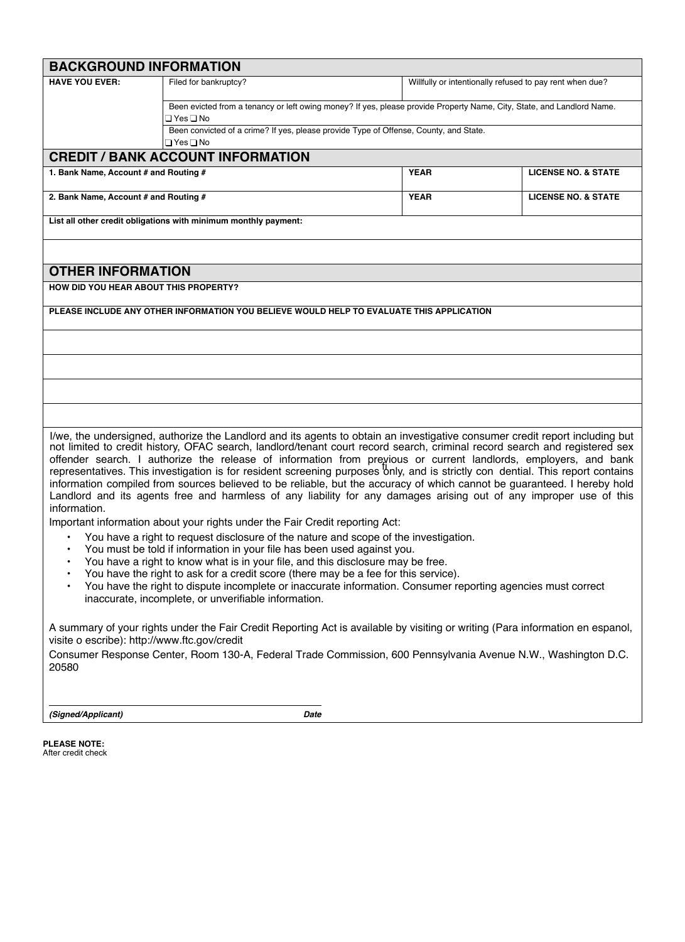| <b>BACKGROUND INFORMATION</b>                                                                                                                                                                                                                                                                                                                                                                                                                                                                                                                                                                                                                                                                                                                                                                                                                                                                                                                                                                                                                                                                                                                                                                                                                                                                                                                                                                       |                                                                                                                                      |                                                          |                                |  |  |  |
|-----------------------------------------------------------------------------------------------------------------------------------------------------------------------------------------------------------------------------------------------------------------------------------------------------------------------------------------------------------------------------------------------------------------------------------------------------------------------------------------------------------------------------------------------------------------------------------------------------------------------------------------------------------------------------------------------------------------------------------------------------------------------------------------------------------------------------------------------------------------------------------------------------------------------------------------------------------------------------------------------------------------------------------------------------------------------------------------------------------------------------------------------------------------------------------------------------------------------------------------------------------------------------------------------------------------------------------------------------------------------------------------------------|--------------------------------------------------------------------------------------------------------------------------------------|----------------------------------------------------------|--------------------------------|--|--|--|
| <b>HAVE YOU EVER:</b>                                                                                                                                                                                                                                                                                                                                                                                                                                                                                                                                                                                                                                                                                                                                                                                                                                                                                                                                                                                                                                                                                                                                                                                                                                                                                                                                                                               | Filed for bankruptcy?                                                                                                                | Willfully or intentionally refused to pay rent when due? |                                |  |  |  |
|                                                                                                                                                                                                                                                                                                                                                                                                                                                                                                                                                                                                                                                                                                                                                                                                                                                                                                                                                                                                                                                                                                                                                                                                                                                                                                                                                                                                     | Been evicted from a tenancy or left owing money? If yes, please provide Property Name, City, State, and Landlord Name.<br>⊟ Yes ⊟ No |                                                          |                                |  |  |  |
|                                                                                                                                                                                                                                                                                                                                                                                                                                                                                                                                                                                                                                                                                                                                                                                                                                                                                                                                                                                                                                                                                                                                                                                                                                                                                                                                                                                                     | Been convicted of a crime? If yes, please provide Type of Offense, County, and State.<br>□ Yes □ No                                  |                                                          |                                |  |  |  |
|                                                                                                                                                                                                                                                                                                                                                                                                                                                                                                                                                                                                                                                                                                                                                                                                                                                                                                                                                                                                                                                                                                                                                                                                                                                                                                                                                                                                     | <b>CREDIT / BANK ACCOUNT INFORMATION</b>                                                                                             |                                                          |                                |  |  |  |
| 1. Bank Name, Account # and Routing #                                                                                                                                                                                                                                                                                                                                                                                                                                                                                                                                                                                                                                                                                                                                                                                                                                                                                                                                                                                                                                                                                                                                                                                                                                                                                                                                                               |                                                                                                                                      | <b>YEAR</b>                                              | <b>LICENSE NO. &amp; STATE</b> |  |  |  |
| 2. Bank Name, Account # and Routing #                                                                                                                                                                                                                                                                                                                                                                                                                                                                                                                                                                                                                                                                                                                                                                                                                                                                                                                                                                                                                                                                                                                                                                                                                                                                                                                                                               |                                                                                                                                      | <b>YEAR</b>                                              | <b>LICENSE NO. &amp; STATE</b> |  |  |  |
|                                                                                                                                                                                                                                                                                                                                                                                                                                                                                                                                                                                                                                                                                                                                                                                                                                                                                                                                                                                                                                                                                                                                                                                                                                                                                                                                                                                                     | List all other credit obligations with minimum monthly payment:                                                                      |                                                          |                                |  |  |  |
|                                                                                                                                                                                                                                                                                                                                                                                                                                                                                                                                                                                                                                                                                                                                                                                                                                                                                                                                                                                                                                                                                                                                                                                                                                                                                                                                                                                                     |                                                                                                                                      |                                                          |                                |  |  |  |
| <b>OTHER INFORMATION</b>                                                                                                                                                                                                                                                                                                                                                                                                                                                                                                                                                                                                                                                                                                                                                                                                                                                                                                                                                                                                                                                                                                                                                                                                                                                                                                                                                                            |                                                                                                                                      |                                                          |                                |  |  |  |
| <b>HOW DID YOU HEAR ABOUT THIS PROPERTY?</b>                                                                                                                                                                                                                                                                                                                                                                                                                                                                                                                                                                                                                                                                                                                                                                                                                                                                                                                                                                                                                                                                                                                                                                                                                                                                                                                                                        |                                                                                                                                      |                                                          |                                |  |  |  |
|                                                                                                                                                                                                                                                                                                                                                                                                                                                                                                                                                                                                                                                                                                                                                                                                                                                                                                                                                                                                                                                                                                                                                                                                                                                                                                                                                                                                     | PLEASE INCLUDE ANY OTHER INFORMATION YOU BELIEVE WOULD HELP TO EVALUATE THIS APPLICATION                                             |                                                          |                                |  |  |  |
|                                                                                                                                                                                                                                                                                                                                                                                                                                                                                                                                                                                                                                                                                                                                                                                                                                                                                                                                                                                                                                                                                                                                                                                                                                                                                                                                                                                                     |                                                                                                                                      |                                                          |                                |  |  |  |
|                                                                                                                                                                                                                                                                                                                                                                                                                                                                                                                                                                                                                                                                                                                                                                                                                                                                                                                                                                                                                                                                                                                                                                                                                                                                                                                                                                                                     |                                                                                                                                      |                                                          |                                |  |  |  |
|                                                                                                                                                                                                                                                                                                                                                                                                                                                                                                                                                                                                                                                                                                                                                                                                                                                                                                                                                                                                                                                                                                                                                                                                                                                                                                                                                                                                     |                                                                                                                                      |                                                          |                                |  |  |  |
|                                                                                                                                                                                                                                                                                                                                                                                                                                                                                                                                                                                                                                                                                                                                                                                                                                                                                                                                                                                                                                                                                                                                                                                                                                                                                                                                                                                                     |                                                                                                                                      |                                                          |                                |  |  |  |
| I/we, the undersigned, authorize the Landlord and its agents to obtain an investigative consumer credit report including but<br>not limited to credit history, OFAC search, landlord/tenant court record search, criminal record search and registered sex<br>offender search. I authorize the release of information from previous or current landlords, employers, and bank<br>representatives. This investigation is for resident screening purposes only, and is strictly con dential. This report contains<br>information compiled from sources believed to be reliable, but the accuracy of which cannot be guaranteed. I hereby hold<br>Landlord and its agents free and harmless of any liability for any damages arising out of any improper use of this<br>information.<br>Important information about your rights under the Fair Credit reporting Act:<br>You have a right to request disclosure of the nature and scope of the investigation.<br>$\bullet$<br>You must be told if information in your file has been used against you.<br>You have a right to know what is in your file, and this disclosure may be free.<br>You have the right to ask for a credit score (there may be a fee for this service).<br>You have the right to dispute incomplete or inaccurate information. Consumer reporting agencies must correct<br>inaccurate, incomplete, or unverifiable information. |                                                                                                                                      |                                                          |                                |  |  |  |
| A summary of your rights under the Fair Credit Reporting Act is available by visiting or writing (Para information en espanol,<br>visite o escribe): http://www.ftc.gov/credit<br>Consumer Response Center, Room 130-A, Federal Trade Commission, 600 Pennsylvania Avenue N.W., Washington D.C.<br>20580                                                                                                                                                                                                                                                                                                                                                                                                                                                                                                                                                                                                                                                                                                                                                                                                                                                                                                                                                                                                                                                                                            |                                                                                                                                      |                                                          |                                |  |  |  |

*(Signed/Applicant) Date*

**PLEASE NOTE:** After credit check